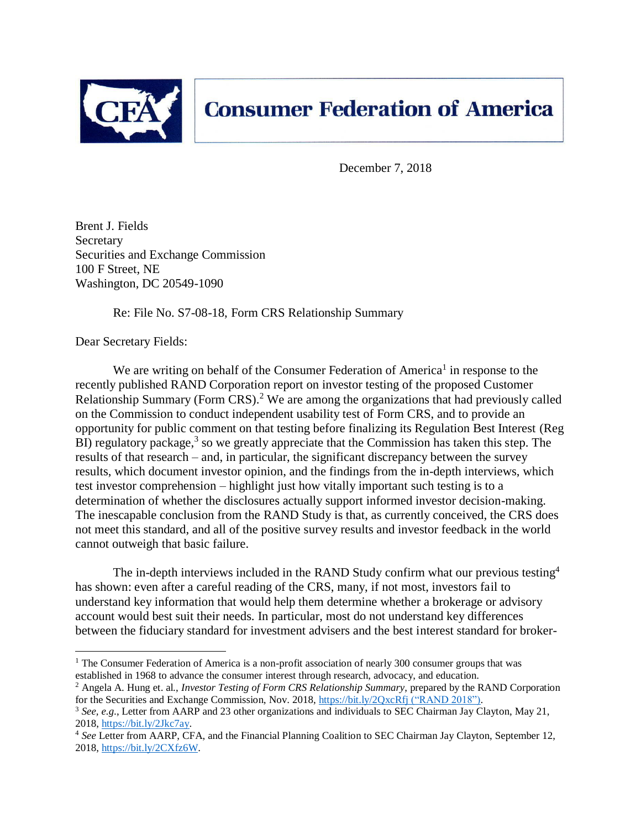

December 7, 2018

Brent J. Fields Secretary Securities and Exchange Commission 100 F Street, NE Washington, DC 20549-1090

Re: File No. S7-08-18, Form CRS Relationship Summary

Dear Secretary Fields:

 $\overline{a}$ 

We are writing on behalf of the Consumer Federation of America<sup>1</sup> in response to the recently published RAND Corporation report on investor testing of the proposed Customer Relationship Summary (Form CRS).<sup>2</sup> We are among the organizations that had previously called on the Commission to conduct independent usability test of Form CRS, and to provide an opportunity for public comment on that testing before finalizing its Regulation Best Interest (Reg  $\overline{B}I$ ) regulatory package,<sup>3</sup> so we greatly appreciate that the Commission has taken this step. The results of that research – and, in particular, the significant discrepancy between the survey results, which document investor opinion, and the findings from the in-depth interviews, which test investor comprehension – highlight just how vitally important such testing is to a determination of whether the disclosures actually support informed investor decision-making. The inescapable conclusion from the RAND Study is that, as currently conceived, the CRS does not meet this standard, and all of the positive survey results and investor feedback in the world cannot outweigh that basic failure.

The in-depth interviews included in the RAND Study confirm what our previous testing<sup>4</sup> has shown: even after a careful reading of the CRS, many, if not most, investors fail to understand key information that would help them determine whether a brokerage or advisory account would best suit their needs. In particular, most do not understand key differences between the fiduciary standard for investment advisers and the best interest standard for broker-

<sup>&</sup>lt;sup>1</sup> The Consumer Federation of America is a non-profit association of nearly 300 consumer groups that was established in 1968 to advance the consumer interest through research, advocacy, and education.

<sup>2</sup> Angela A. Hung et. al., *Investor Testing of Form CRS Relationship Summary*, prepared by the RAND Corporation for the Securities and Exchange Commission, Nov. 2018,<https://bit.ly/2QxcRfj> ("RAND 2018").

<sup>3</sup> *See, e.g*., Letter from AARP and 23 other organizations and individuals to SEC Chairman Jay Clayton, May 21, 2018, [https://bit.ly/2Jkc7ay.](https://bit.ly/2Jkc7ay)

<sup>4</sup> *See* Letter from AARP, CFA, and the Financial Planning Coalition to SEC Chairman Jay Clayton, September 12, 2018, [https://bit.ly/2CXfz6W.](https://bit.ly/2CXfz6W)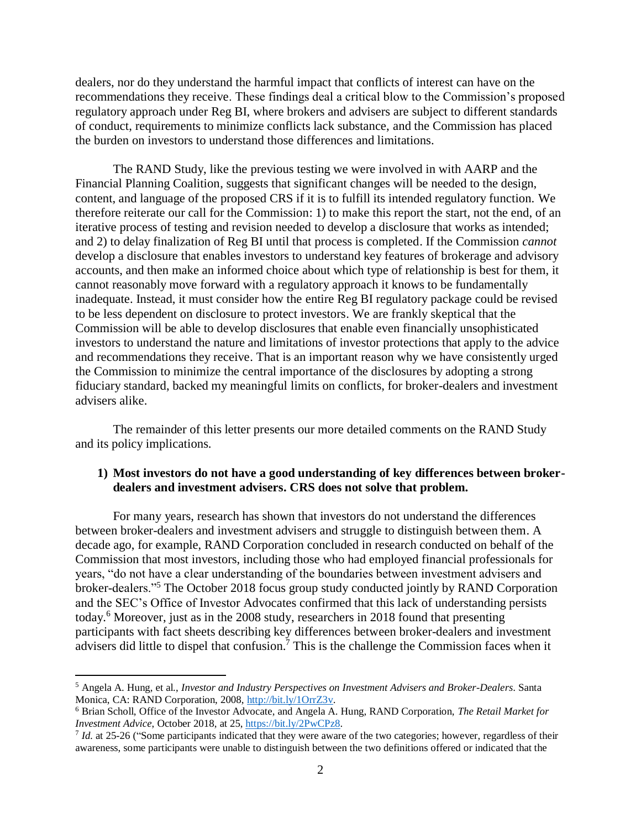dealers, nor do they understand the harmful impact that conflicts of interest can have on the recommendations they receive. These findings deal a critical blow to the Commission's proposed regulatory approach under Reg BI, where brokers and advisers are subject to different standards of conduct, requirements to minimize conflicts lack substance, and the Commission has placed the burden on investors to understand those differences and limitations.

The RAND Study, like the previous testing we were involved in with AARP and the Financial Planning Coalition, suggests that significant changes will be needed to the design, content, and language of the proposed CRS if it is to fulfill its intended regulatory function. We therefore reiterate our call for the Commission: 1) to make this report the start, not the end, of an iterative process of testing and revision needed to develop a disclosure that works as intended; and 2) to delay finalization of Reg BI until that process is completed. If the Commission *cannot* develop a disclosure that enables investors to understand key features of brokerage and advisory accounts, and then make an informed choice about which type of relationship is best for them, it cannot reasonably move forward with a regulatory approach it knows to be fundamentally inadequate. Instead, it must consider how the entire Reg BI regulatory package could be revised to be less dependent on disclosure to protect investors. We are frankly skeptical that the Commission will be able to develop disclosures that enable even financially unsophisticated investors to understand the nature and limitations of investor protections that apply to the advice and recommendations they receive. That is an important reason why we have consistently urged the Commission to minimize the central importance of the disclosures by adopting a strong fiduciary standard, backed my meaningful limits on conflicts, for broker-dealers and investment advisers alike.

The remainder of this letter presents our more detailed comments on the RAND Study and its policy implications.

### **1) Most investors do not have a good understanding of key differences between brokerdealers and investment advisers. CRS does not solve that problem.**

For many years, research has shown that investors do not understand the differences between broker-dealers and investment advisers and struggle to distinguish between them. A decade ago, for example, RAND Corporation concluded in research conducted on behalf of the Commission that most investors, including those who had employed financial professionals for years, "do not have a clear understanding of the boundaries between investment advisers and broker-dealers."<sup>5</sup> The October 2018 focus group study conducted jointly by RAND Corporation and the SEC's Office of Investor Advocates confirmed that this lack of understanding persists today. <sup>6</sup> Moreover, just as in the 2008 study, researchers in 2018 found that presenting participants with fact sheets describing key differences between broker-dealers and investment advisers did little to dispel that confusion.<sup>7</sup> This is the challenge the Commission faces when it

 $\overline{a}$ 

<sup>5</sup> Angela A. Hung, et al., *Investor and Industry Perspectives on Investment Advisers and Broker-Dealers*. Santa Monica, CA: RAND Corporation, 2008, [http://bit.ly/1OrrZ3v.](http://bit.ly/1OrrZ3v)

<sup>6</sup> Brian Scholl, Office of the Investor Advocate, and Angela A. Hung, RAND Corporation, *The Retail Market for Investment Advice*, October 2018, at 25, [https://bit.ly/2PwCPz8.](https://bit.ly/2PwCPz8) 

<sup>&</sup>lt;sup>7</sup> *Id.* at 25-26 ("Some participants indicated that they were aware of the two categories; however, regardless of their awareness, some participants were unable to distinguish between the two definitions offered or indicated that the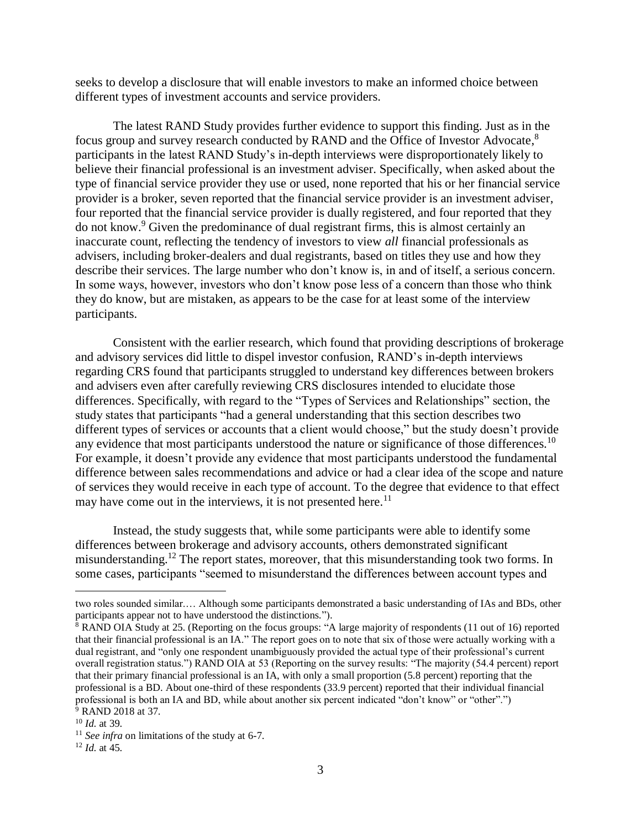seeks to develop a disclosure that will enable investors to make an informed choice between different types of investment accounts and service providers.

The latest RAND Study provides further evidence to support this finding. Just as in the focus group and survey research conducted by RAND and the Office of Investor Advocate,<sup>8</sup> participants in the latest RAND Study's in-depth interviews were disproportionately likely to believe their financial professional is an investment adviser. Specifically, when asked about the type of financial service provider they use or used, none reported that his or her financial service provider is a broker, seven reported that the financial service provider is an investment adviser, four reported that the financial service provider is dually registered, and four reported that they do not know. <sup>9</sup> Given the predominance of dual registrant firms, this is almost certainly an inaccurate count, reflecting the tendency of investors to view *all* financial professionals as advisers, including broker-dealers and dual registrants, based on titles they use and how they describe their services. The large number who don't know is, in and of itself, a serious concern. In some ways, however, investors who don't know pose less of a concern than those who think they do know, but are mistaken, as appears to be the case for at least some of the interview participants.

Consistent with the earlier research, which found that providing descriptions of brokerage and advisory services did little to dispel investor confusion, RAND's in-depth interviews regarding CRS found that participants struggled to understand key differences between brokers and advisers even after carefully reviewing CRS disclosures intended to elucidate those differences. Specifically, with regard to the "Types of Services and Relationships" section, the study states that participants "had a general understanding that this section describes two different types of services or accounts that a client would choose," but the study doesn't provide any evidence that most participants understood the nature or significance of those differences.<sup>10</sup> For example, it doesn't provide any evidence that most participants understood the fundamental difference between sales recommendations and advice or had a clear idea of the scope and nature of services they would receive in each type of account. To the degree that evidence to that effect may have come out in the interviews, it is not presented here.<sup>11</sup>

Instead, the study suggests that, while some participants were able to identify some differences between brokerage and advisory accounts, others demonstrated significant misunderstanding.<sup>12</sup> The report states, moreover, that this misunderstanding took two forms. In some cases, participants "seemed to misunderstand the differences between account types and

 $\overline{a}$ 

two roles sounded similar.… Although some participants demonstrated a basic understanding of IAs and BDs, other participants appear not to have understood the distinctions.").

<sup>8</sup> RAND OIA Study at 25. (Reporting on the focus groups: "A large majority of respondents (11 out of 16) reported that their financial professional is an IA." The report goes on to note that six of those were actually working with a dual registrant, and "only one respondent unambiguously provided the actual type of their professional's current overall registration status.") RAND OIA at 53 (Reporting on the survey results: "The majority (54.4 percent) report that their primary financial professional is an IA, with only a small proportion (5.8 percent) reporting that the professional is a BD. About one-third of these respondents (33.9 percent) reported that their individual financial professional is both an IA and BD, while about another six percent indicated "don't know" or "other".") <sup>9</sup> RAND 2018 at 37.

<sup>10</sup> *Id.* at 39.

<sup>11</sup> *See infra* on limitations of the study at 6-7.

<sup>12</sup> *Id.* at 45.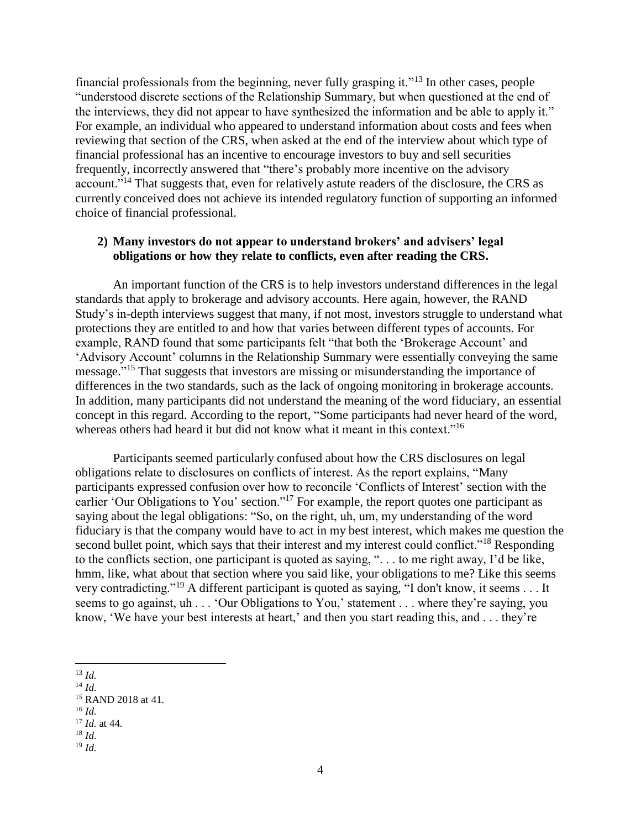financial professionals from the beginning, never fully grasping it."<sup>13</sup> In other cases, people "understood discrete sections of the Relationship Summary, but when questioned at the end of the interviews, they did not appear to have synthesized the information and be able to apply it." For example, an individual who appeared to understand information about costs and fees when reviewing that section of the CRS, when asked at the end of the interview about which type of financial professional has an incentive to encourage investors to buy and sell securities frequently, incorrectly answered that "there's probably more incentive on the advisory account."<sup>14</sup> That suggests that, even for relatively astute readers of the disclosure, the CRS as currently conceived does not achieve its intended regulatory function of supporting an informed choice of financial professional.

### **2) Many investors do not appear to understand brokers' and advisers' legal obligations or how they relate to conflicts, even after reading the CRS.**

An important function of the CRS is to help investors understand differences in the legal standards that apply to brokerage and advisory accounts. Here again, however, the RAND Study's in-depth interviews suggest that many, if not most, investors struggle to understand what protections they are entitled to and how that varies between different types of accounts. For example, RAND found that some participants felt "that both the 'Brokerage Account' and 'Advisory Account' columns in the Relationship Summary were essentially conveying the same message."<sup>15</sup> That suggests that investors are missing or misunderstanding the importance of differences in the two standards, such as the lack of ongoing monitoring in brokerage accounts. In addition, many participants did not understand the meaning of the word fiduciary, an essential concept in this regard. According to the report, "Some participants had never heard of the word, whereas others had heard it but did not know what it meant in this context."<sup>16</sup>

Participants seemed particularly confused about how the CRS disclosures on legal obligations relate to disclosures on conflicts of interest. As the report explains, "Many participants expressed confusion over how to reconcile 'Conflicts of Interest' section with the earlier 'Our Obligations to You' section."<sup>17</sup> For example, the report quotes one participant as saying about the legal obligations: "So, on the right, uh, um, my understanding of the word fiduciary is that the company would have to act in my best interest, which makes me question the second bullet point, which says that their interest and my interest could conflict."<sup>18</sup> Responding to the conflicts section, one participant is quoted as saying, ". . . to me right away, I'd be like, hmm, like, what about that section where you said like, your obligations to me? Like this seems very contradicting."<sup>19</sup> A different participant is quoted as saying, "I don't know, it seems . . . It seems to go against, uh . . . 'Our Obligations to You,' statement . . . where they're saying, you know, 'We have your best interests at heart,' and then you start reading this, and . . . they're

- $\overline{a}$ <sup>13</sup> *Id.*
- $14$  *Id.*

- $^{16}$  *Id.*
- <sup>17</sup> *Id.* at 44.
- <sup>18</sup> *Id.*

<sup>15</sup> RAND 2018 at 41.

<sup>19</sup> *Id.*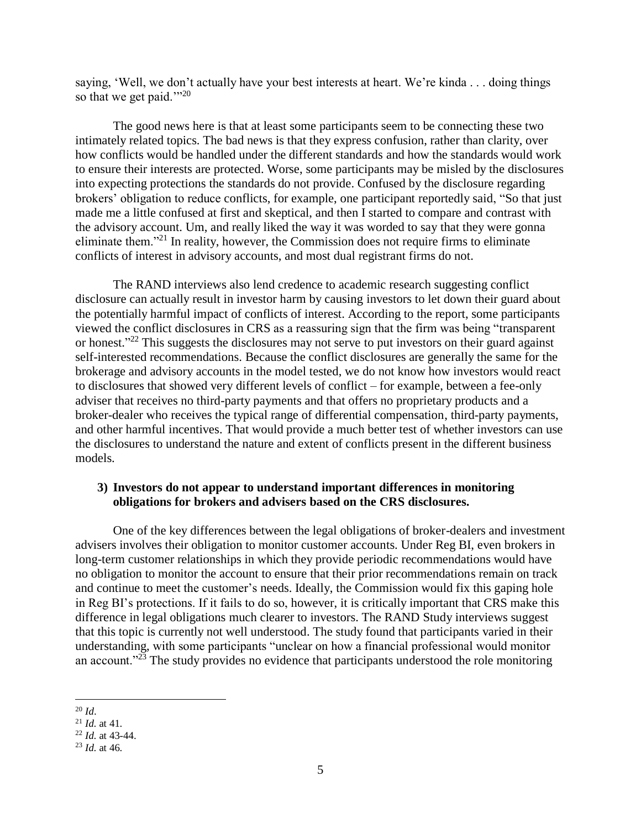saying, 'Well, we don't actually have your best interests at heart. We're kinda . . . doing things so that we get paid." $2^{0}$ 

The good news here is that at least some participants seem to be connecting these two intimately related topics. The bad news is that they express confusion, rather than clarity, over how conflicts would be handled under the different standards and how the standards would work to ensure their interests are protected. Worse, some participants may be misled by the disclosures into expecting protections the standards do not provide. Confused by the disclosure regarding brokers' obligation to reduce conflicts, for example, one participant reportedly said, "So that just made me a little confused at first and skeptical, and then I started to compare and contrast with the advisory account. Um, and really liked the way it was worded to say that they were gonna eliminate them."<sup>21</sup> In reality, however, the Commission does not require firms to eliminate conflicts of interest in advisory accounts, and most dual registrant firms do not.

The RAND interviews also lend credence to academic research suggesting conflict disclosure can actually result in investor harm by causing investors to let down their guard about the potentially harmful impact of conflicts of interest. According to the report, some participants viewed the conflict disclosures in CRS as a reassuring sign that the firm was being "transparent or honest."<sup>22</sup> This suggests the disclosures may not serve to put investors on their guard against self-interested recommendations. Because the conflict disclosures are generally the same for the brokerage and advisory accounts in the model tested, we do not know how investors would react to disclosures that showed very different levels of conflict – for example, between a fee-only adviser that receives no third-party payments and that offers no proprietary products and a broker-dealer who receives the typical range of differential compensation, third-party payments, and other harmful incentives. That would provide a much better test of whether investors can use the disclosures to understand the nature and extent of conflicts present in the different business models.

#### **3) Investors do not appear to understand important differences in monitoring obligations for brokers and advisers based on the CRS disclosures.**

One of the key differences between the legal obligations of broker-dealers and investment advisers involves their obligation to monitor customer accounts. Under Reg BI, even brokers in long-term customer relationships in which they provide periodic recommendations would have no obligation to monitor the account to ensure that their prior recommendations remain on track and continue to meet the customer's needs. Ideally, the Commission would fix this gaping hole in Reg BI's protections. If it fails to do so, however, it is critically important that CRS make this difference in legal obligations much clearer to investors. The RAND Study interviews suggest that this topic is currently not well understood. The study found that participants varied in their understanding, with some participants "unclear on how a financial professional would monitor an account."<sup>23</sup> The study provides no evidence that participants understood the role monitoring

 $\overline{a}$ <sup>20</sup> *Id*.

 $^{21}$  *Id.* at 41.

<sup>22</sup> *Id.* at 43-44.

<sup>23</sup> *Id.* at 46.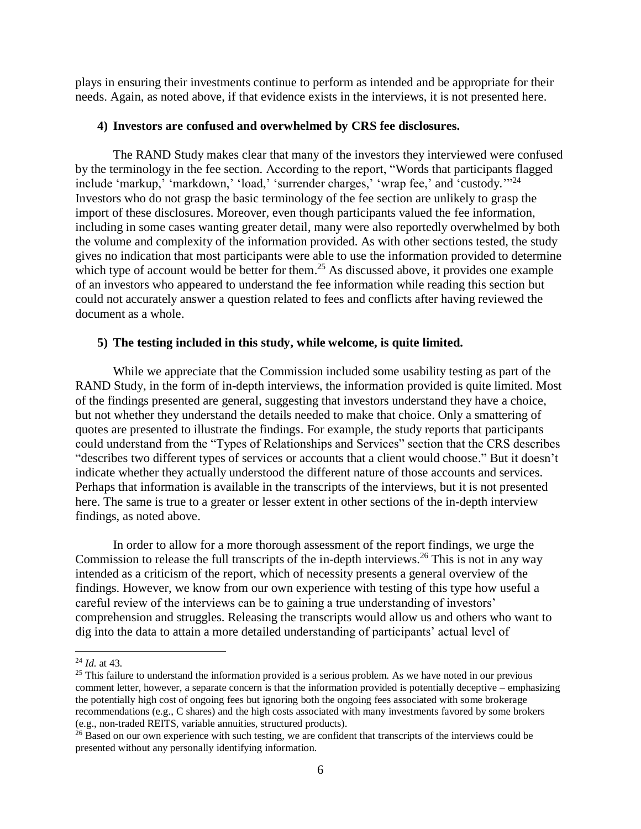plays in ensuring their investments continue to perform as intended and be appropriate for their needs. Again, as noted above, if that evidence exists in the interviews, it is not presented here.

#### **4) Investors are confused and overwhelmed by CRS fee disclosures.**

The RAND Study makes clear that many of the investors they interviewed were confused by the terminology in the fee section. According to the report, "Words that participants flagged include 'markup,' 'markdown,' 'load,' 'surrender charges,' 'wrap fee,' and 'custody.'"<sup>24</sup> Investors who do not grasp the basic terminology of the fee section are unlikely to grasp the import of these disclosures. Moreover, even though participants valued the fee information, including in some cases wanting greater detail, many were also reportedly overwhelmed by both the volume and complexity of the information provided. As with other sections tested, the study gives no indication that most participants were able to use the information provided to determine which type of account would be better for them.<sup>25</sup> As discussed above, it provides one example of an investors who appeared to understand the fee information while reading this section but could not accurately answer a question related to fees and conflicts after having reviewed the document as a whole.

#### **5) The testing included in this study, while welcome, is quite limited.**

While we appreciate that the Commission included some usability testing as part of the RAND Study, in the form of in-depth interviews, the information provided is quite limited. Most of the findings presented are general, suggesting that investors understand they have a choice, but not whether they understand the details needed to make that choice. Only a smattering of quotes are presented to illustrate the findings. For example, the study reports that participants could understand from the "Types of Relationships and Services" section that the CRS describes "describes two different types of services or accounts that a client would choose." But it doesn't indicate whether they actually understood the different nature of those accounts and services. Perhaps that information is available in the transcripts of the interviews, but it is not presented here. The same is true to a greater or lesser extent in other sections of the in-depth interview findings, as noted above.

In order to allow for a more thorough assessment of the report findings, we urge the Commission to release the full transcripts of the in-depth interviews.<sup>26</sup> This is not in any way intended as a criticism of the report, which of necessity presents a general overview of the findings. However, we know from our own experience with testing of this type how useful a careful review of the interviews can be to gaining a true understanding of investors' comprehension and struggles. Releasing the transcripts would allow us and others who want to dig into the data to attain a more detailed understanding of participants' actual level of

 $\overline{a}$ 

<sup>24</sup> *Id.* at 43.

<sup>&</sup>lt;sup>25</sup> This failure to understand the information provided is a serious problem. As we have noted in our previous comment letter, however, a separate concern is that the information provided is potentially deceptive – emphasizing the potentially high cost of ongoing fees but ignoring both the ongoing fees associated with some brokerage recommendations (e.g., C shares) and the high costs associated with many investments favored by some brokers (e.g., non-traded REITS, variable annuities, structured products).

<sup>&</sup>lt;sup>26</sup> Based on our own experience with such testing, we are confident that transcripts of the interviews could be presented without any personally identifying information.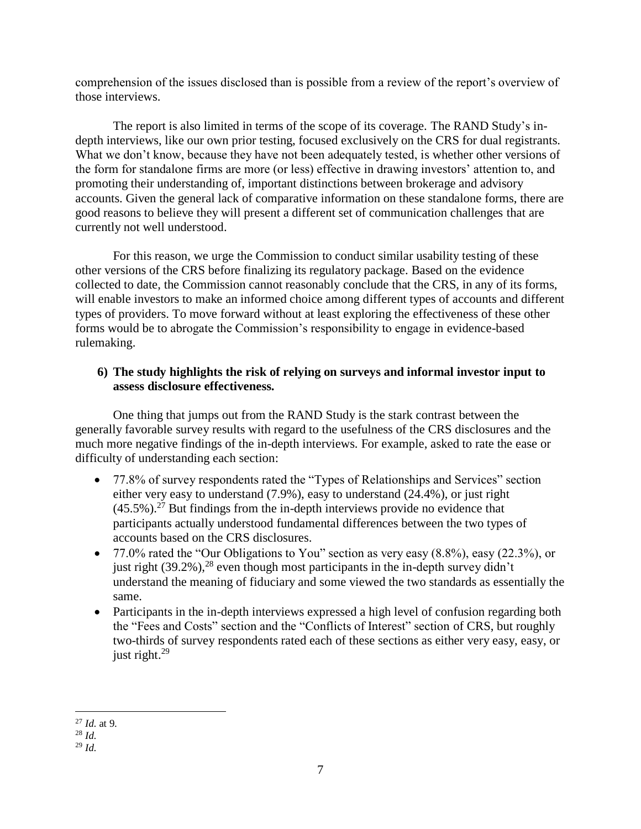comprehension of the issues disclosed than is possible from a review of the report's overview of those interviews.

The report is also limited in terms of the scope of its coverage. The RAND Study's indepth interviews, like our own prior testing, focused exclusively on the CRS for dual registrants. What we don't know, because they have not been adequately tested, is whether other versions of the form for standalone firms are more (or less) effective in drawing investors' attention to, and promoting their understanding of, important distinctions between brokerage and advisory accounts. Given the general lack of comparative information on these standalone forms, there are good reasons to believe they will present a different set of communication challenges that are currently not well understood.

For this reason, we urge the Commission to conduct similar usability testing of these other versions of the CRS before finalizing its regulatory package. Based on the evidence collected to date, the Commission cannot reasonably conclude that the CRS, in any of its forms, will enable investors to make an informed choice among different types of accounts and different types of providers. To move forward without at least exploring the effectiveness of these other forms would be to abrogate the Commission's responsibility to engage in evidence-based rulemaking.

# **6) The study highlights the risk of relying on surveys and informal investor input to assess disclosure effectiveness.**

One thing that jumps out from the RAND Study is the stark contrast between the generally favorable survey results with regard to the usefulness of the CRS disclosures and the much more negative findings of the in-depth interviews. For example, asked to rate the ease or difficulty of understanding each section:

- 77.8% of survey respondents rated the "Types of Relationships and Services" section either very easy to understand (7.9%), easy to understand (24.4%), or just right  $(45.5\%)$ .<sup>27</sup> But findings from the in-depth interviews provide no evidence that participants actually understood fundamental differences between the two types of accounts based on the CRS disclosures.
- 77.0% rated the "Our Obligations to You" section as very easy (8.8%), easy (22.3%), or just right  $(39.2\%)$ ,<sup>28</sup> even though most participants in the in-depth survey didn't understand the meaning of fiduciary and some viewed the two standards as essentially the same.
- Participants in the in-depth interviews expressed a high level of confusion regarding both the "Fees and Costs" section and the "Conflicts of Interest" section of CRS, but roughly two-thirds of survey respondents rated each of these sections as either very easy, easy, or just right.<sup>29</sup>

 $\overline{a}$ <sup>27</sup> *Id.* at 9.

<sup>28</sup> *Id.*

<sup>29</sup> *Id.*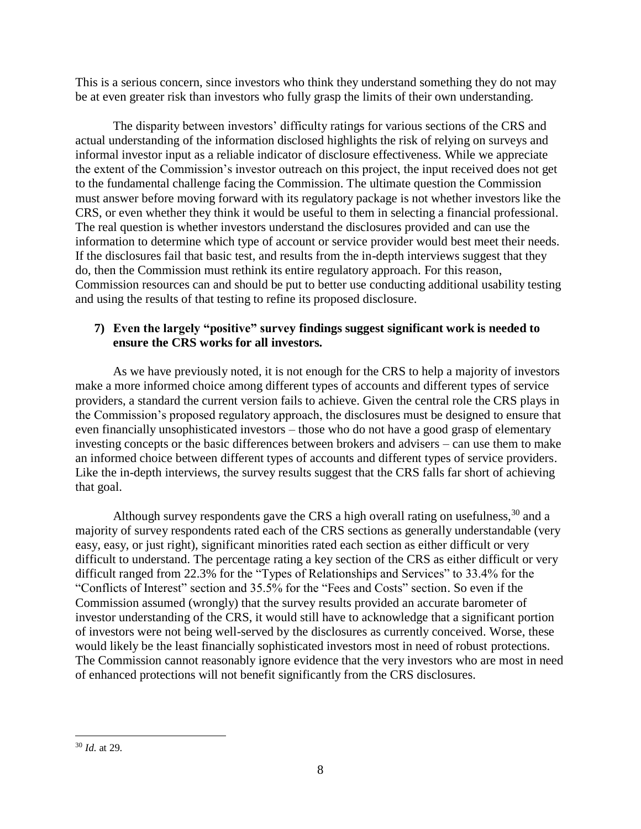This is a serious concern, since investors who think they understand something they do not may be at even greater risk than investors who fully grasp the limits of their own understanding.

The disparity between investors' difficulty ratings for various sections of the CRS and actual understanding of the information disclosed highlights the risk of relying on surveys and informal investor input as a reliable indicator of disclosure effectiveness. While we appreciate the extent of the Commission's investor outreach on this project, the input received does not get to the fundamental challenge facing the Commission. The ultimate question the Commission must answer before moving forward with its regulatory package is not whether investors like the CRS, or even whether they think it would be useful to them in selecting a financial professional. The real question is whether investors understand the disclosures provided and can use the information to determine which type of account or service provider would best meet their needs. If the disclosures fail that basic test, and results from the in-depth interviews suggest that they do, then the Commission must rethink its entire regulatory approach. For this reason, Commission resources can and should be put to better use conducting additional usability testing and using the results of that testing to refine its proposed disclosure.

## **7) Even the largely "positive" survey findings suggest significant work is needed to ensure the CRS works for all investors.**

As we have previously noted, it is not enough for the CRS to help a majority of investors make a more informed choice among different types of accounts and different types of service providers, a standard the current version fails to achieve. Given the central role the CRS plays in the Commission's proposed regulatory approach, the disclosures must be designed to ensure that even financially unsophisticated investors – those who do not have a good grasp of elementary investing concepts or the basic differences between brokers and advisers – can use them to make an informed choice between different types of accounts and different types of service providers. Like the in-depth interviews, the survey results suggest that the CRS falls far short of achieving that goal.

Although survey respondents gave the CRS a high overall rating on usefulness,  $30$  and a majority of survey respondents rated each of the CRS sections as generally understandable (very easy, easy, or just right), significant minorities rated each section as either difficult or very difficult to understand. The percentage rating a key section of the CRS as either difficult or very difficult ranged from 22.3% for the "Types of Relationships and Services" to 33.4% for the "Conflicts of Interest" section and 35.5% for the "Fees and Costs" section. So even if the Commission assumed (wrongly) that the survey results provided an accurate barometer of investor understanding of the CRS, it would still have to acknowledge that a significant portion of investors were not being well-served by the disclosures as currently conceived. Worse, these would likely be the least financially sophisticated investors most in need of robust protections. The Commission cannot reasonably ignore evidence that the very investors who are most in need of enhanced protections will not benefit significantly from the CRS disclosures.

 $\overline{a}$ <sup>30</sup> *Id.* at 29.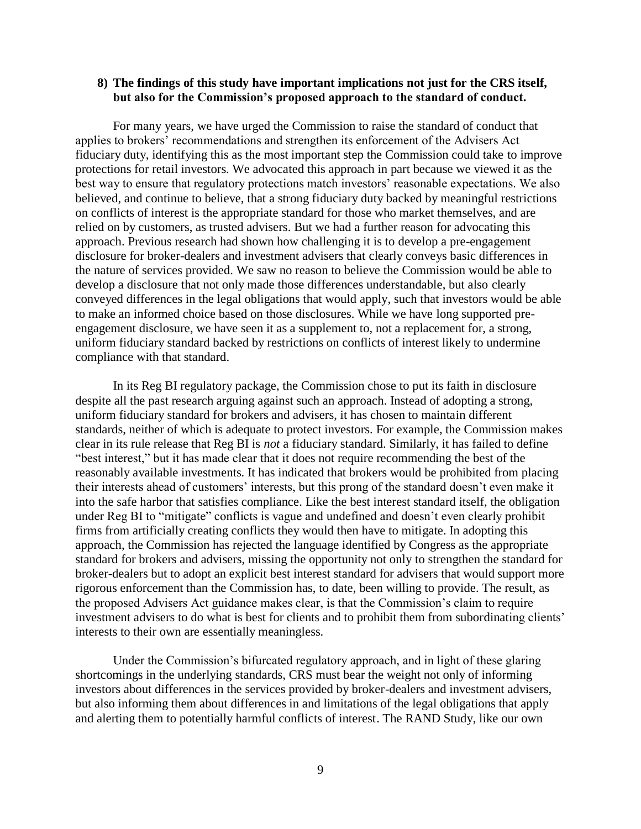#### **8) The findings of this study have important implications not just for the CRS itself, but also for the Commission's proposed approach to the standard of conduct.**

For many years, we have urged the Commission to raise the standard of conduct that applies to brokers' recommendations and strengthen its enforcement of the Advisers Act fiduciary duty, identifying this as the most important step the Commission could take to improve protections for retail investors. We advocated this approach in part because we viewed it as the best way to ensure that regulatory protections match investors' reasonable expectations. We also believed, and continue to believe, that a strong fiduciary duty backed by meaningful restrictions on conflicts of interest is the appropriate standard for those who market themselves, and are relied on by customers, as trusted advisers. But we had a further reason for advocating this approach. Previous research had shown how challenging it is to develop a pre-engagement disclosure for broker-dealers and investment advisers that clearly conveys basic differences in the nature of services provided. We saw no reason to believe the Commission would be able to develop a disclosure that not only made those differences understandable, but also clearly conveyed differences in the legal obligations that would apply, such that investors would be able to make an informed choice based on those disclosures. While we have long supported preengagement disclosure, we have seen it as a supplement to, not a replacement for, a strong, uniform fiduciary standard backed by restrictions on conflicts of interest likely to undermine compliance with that standard.

In its Reg BI regulatory package, the Commission chose to put its faith in disclosure despite all the past research arguing against such an approach. Instead of adopting a strong, uniform fiduciary standard for brokers and advisers, it has chosen to maintain different standards, neither of which is adequate to protect investors. For example, the Commission makes clear in its rule release that Reg BI is *not* a fiduciary standard. Similarly, it has failed to define "best interest," but it has made clear that it does not require recommending the best of the reasonably available investments. It has indicated that brokers would be prohibited from placing their interests ahead of customers' interests, but this prong of the standard doesn't even make it into the safe harbor that satisfies compliance. Like the best interest standard itself, the obligation under Reg BI to "mitigate" conflicts is vague and undefined and doesn't even clearly prohibit firms from artificially creating conflicts they would then have to mitigate. In adopting this approach, the Commission has rejected the language identified by Congress as the appropriate standard for brokers and advisers, missing the opportunity not only to strengthen the standard for broker-dealers but to adopt an explicit best interest standard for advisers that would support more rigorous enforcement than the Commission has, to date, been willing to provide. The result, as the proposed Advisers Act guidance makes clear, is that the Commission's claim to require investment advisers to do what is best for clients and to prohibit them from subordinating clients' interests to their own are essentially meaningless.

Under the Commission's bifurcated regulatory approach, and in light of these glaring shortcomings in the underlying standards, CRS must bear the weight not only of informing investors about differences in the services provided by broker-dealers and investment advisers, but also informing them about differences in and limitations of the legal obligations that apply and alerting them to potentially harmful conflicts of interest. The RAND Study, like our own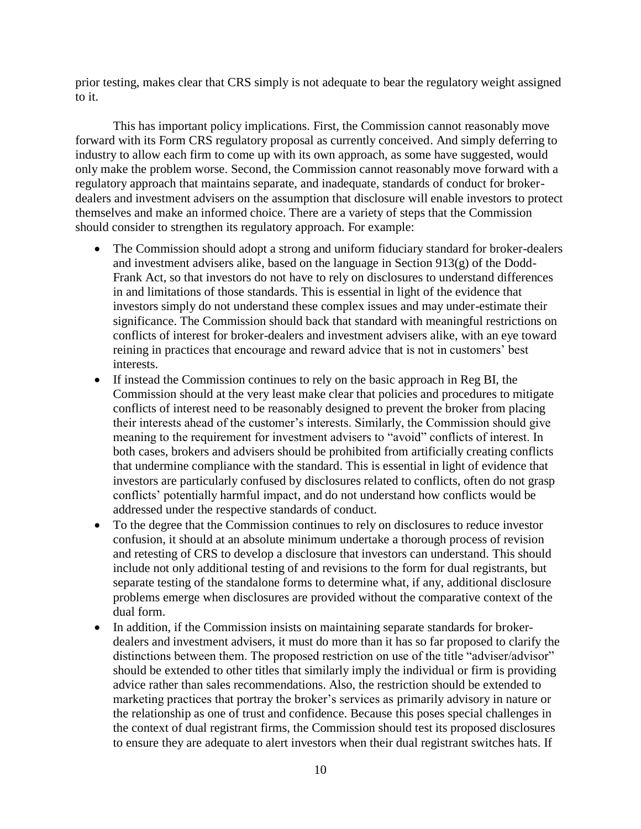prior testing, makes clear that CRS simply is not adequate to bear the regulatory weight assigned to it.

This has important policy implications. First, the Commission cannot reasonably move forward with its Form CRS regulatory proposal as currently conceived. And simply deferring to industry to allow each firm to come up with its own approach, as some have suggested, would only make the problem worse. Second, the Commission cannot reasonably move forward with a regulatory approach that maintains separate, and inadequate, standards of conduct for brokerdealers and investment advisers on the assumption that disclosure will enable investors to protect themselves and make an informed choice. There are a variety of steps that the Commission should consider to strengthen its regulatory approach. For example:

- The Commission should adopt a strong and uniform fiduciary standard for broker-dealers and investment advisers alike, based on the language in Section 913(g) of the Dodd-Frank Act, so that investors do not have to rely on disclosures to understand differences in and limitations of those standards. This is essential in light of the evidence that investors simply do not understand these complex issues and may under-estimate their significance. The Commission should back that standard with meaningful restrictions on conflicts of interest for broker-dealers and investment advisers alike, with an eye toward reining in practices that encourage and reward advice that is not in customers' best interests.
- If instead the Commission continues to rely on the basic approach in Reg BI, the Commission should at the very least make clear that policies and procedures to mitigate conflicts of interest need to be reasonably designed to prevent the broker from placing their interests ahead of the customer's interests. Similarly, the Commission should give meaning to the requirement for investment advisers to "avoid" conflicts of interest. In both cases, brokers and advisers should be prohibited from artificially creating conflicts that undermine compliance with the standard. This is essential in light of evidence that investors are particularly confused by disclosures related to conflicts, often do not grasp conflicts' potentially harmful impact, and do not understand how conflicts would be addressed under the respective standards of conduct.
- To the degree that the Commission continues to rely on disclosures to reduce investor confusion, it should at an absolute minimum undertake a thorough process of revision and retesting of CRS to develop a disclosure that investors can understand. This should include not only additional testing of and revisions to the form for dual registrants, but separate testing of the standalone forms to determine what, if any, additional disclosure problems emerge when disclosures are provided without the comparative context of the dual form.
- In addition, if the Commission insists on maintaining separate standards for brokerdealers and investment advisers, it must do more than it has so far proposed to clarify the distinctions between them. The proposed restriction on use of the title "adviser/advisor" should be extended to other titles that similarly imply the individual or firm is providing advice rather than sales recommendations. Also, the restriction should be extended to marketing practices that portray the broker's services as primarily advisory in nature or the relationship as one of trust and confidence. Because this poses special challenges in the context of dual registrant firms, the Commission should test its proposed disclosures to ensure they are adequate to alert investors when their dual registrant switches hats. If